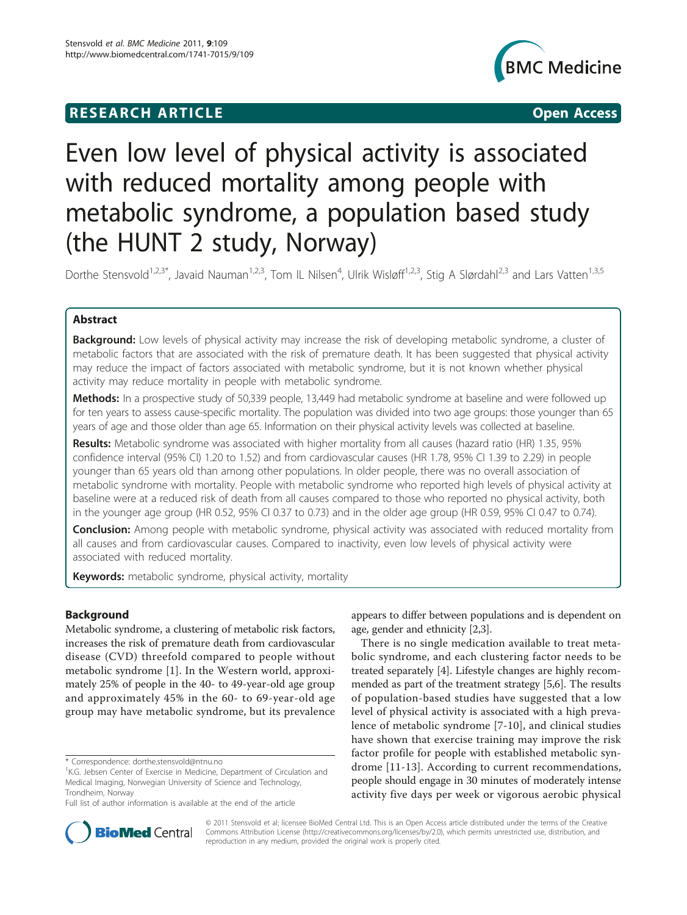## **RESEARCH ARTICLE Example 2018 CONSIDERING ACCESS**



# Even low level of physical activity is associated with reduced mortality among people with metabolic syndrome, a population based study (the HUNT 2 study, Norway)

Dorthe Stensvold<sup>1,2,3\*</sup>, Javaid Nauman<sup>1,2,3</sup>, Tom IL Nilsen<sup>4</sup>, Ulrik Wisløff<sup>1,2,3</sup>, Stig A Slørdahl<sup>2,3</sup> and Lars Vatten<sup>1,3,5</sup>

## Abstract

**Background:** Low levels of physical activity may increase the risk of developing metabolic syndrome, a cluster of metabolic factors that are associated with the risk of premature death. It has been suggested that physical activity may reduce the impact of factors associated with metabolic syndrome, but it is not known whether physical activity may reduce mortality in people with metabolic syndrome.

Methods: In a prospective study of 50,339 people, 13,449 had metabolic syndrome at baseline and were followed up for ten years to assess cause-specific mortality. The population was divided into two age groups: those younger than 65 years of age and those older than age 65. Information on their physical activity levels was collected at baseline.

Results: Metabolic syndrome was associated with higher mortality from all causes (hazard ratio (HR) 1.35, 95% confidence interval (95% CI) 1.20 to 1.52) and from cardiovascular causes (HR 1.78, 95% CI 1.39 to 2.29) in people younger than 65 years old than among other populations. In older people, there was no overall association of metabolic syndrome with mortality. People with metabolic syndrome who reported high levels of physical activity at baseline were at a reduced risk of death from all causes compared to those who reported no physical activity, both in the younger age group (HR 0.52, 95% CI 0.37 to 0.73) and in the older age group (HR 0.59, 95% CI 0.47 to 0.74).

**Conclusion:** Among people with metabolic syndrome, physical activity was associated with reduced mortality from all causes and from cardiovascular causes. Compared to inactivity, even low levels of physical activity were associated with reduced mortality.

Keywords: metabolic syndrome, physical activity, mortality

## Background

Metabolic syndrome, a clustering of metabolic risk factors, increases the risk of premature death from cardiovascular disease (CVD) threefold compared to people without metabolic syndrome [[1\]](#page-6-0). In the Western world, approximately 25% of people in the 40- to 49-year-old age group and approximately 45% in the 60- to 69-year-old age group may have metabolic syndrome, but its prevalence

appears to differ between populations and is dependent on age, gender and ethnicity [[2,3\]](#page-6-0).

There is no single medication available to treat metabolic syndrome, and each clustering factor needs to be treated separately [\[4\]](#page-6-0). Lifestyle changes are highly recommended as part of the treatment strategy [\[5,6\]](#page-6-0). The results of population-based studies have suggested that a low level of physical activity is associated with a high prevalence of metabolic syndrome [[7-10](#page-6-0)], and clinical studies have shown that exercise training may improve the risk factor profile for people with established metabolic syndrome [[11-13\]](#page-6-0). According to current recommendations, people should engage in 30 minutes of moderately intense activity five days per week or vigorous aerobic physical



© 2011 Stensvold et al; licensee BioMed Central Ltd. This is an Open Access article distributed under the terms of the Creative Commons Attribution License [\(http://creativecommons.org/licenses/by/2.0](http://creativecommons.org/licenses/by/2.0)), which permits unrestricted use, distribution, and reproduction in any medium, provided the original work is properly cited.

<sup>\*</sup> Correspondence: [dorthe.stensvold@ntnu.no](mailto:dorthe.stensvold@ntnu.no)

<sup>&</sup>lt;sup>1</sup>K.G. Jebsen Center of Exercise in Medicine, Department of Circulation and Medical Imaging, Norwegian University of Science and Technology, Trondheim, Norway

Full list of author information is available at the end of the article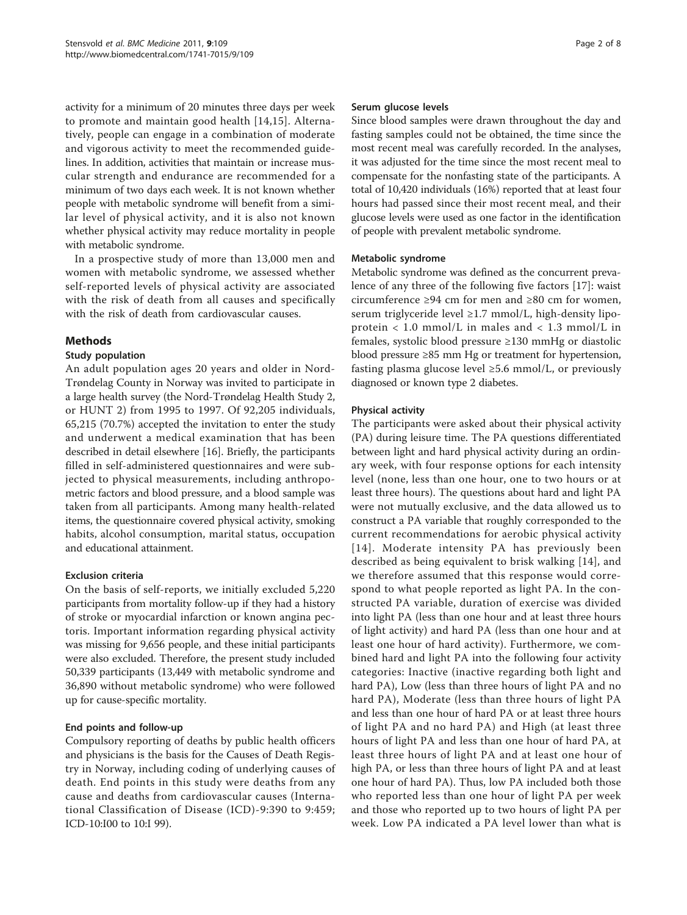activity for a minimum of 20 minutes three days per week to promote and maintain good health [[14,15](#page-6-0)]. Alternatively, people can engage in a combination of moderate and vigorous activity to meet the recommended guidelines. In addition, activities that maintain or increase muscular strength and endurance are recommended for a minimum of two days each week. It is not known whether people with metabolic syndrome will benefit from a similar level of physical activity, and it is also not known whether physical activity may reduce mortality in people with metabolic syndrome.

In a prospective study of more than 13,000 men and women with metabolic syndrome, we assessed whether self-reported levels of physical activity are associated with the risk of death from all causes and specifically with the risk of death from cardiovascular causes.

## Methods

## Study population

An adult population ages 20 years and older in Nord-Trøndelag County in Norway was invited to participate in a large health survey (the Nord-Trøndelag Health Study 2, or HUNT 2) from 1995 to 1997. Of 92,205 individuals, 65,215 (70.7%) accepted the invitation to enter the study and underwent a medical examination that has been described in detail elsewhere [[16\]](#page-6-0). Briefly, the participants filled in self-administered questionnaires and were subjected to physical measurements, including anthropometric factors and blood pressure, and a blood sample was taken from all participants. Among many health-related items, the questionnaire covered physical activity, smoking habits, alcohol consumption, marital status, occupation and educational attainment.

## Exclusion criteria

On the basis of self-reports, we initially excluded 5,220 participants from mortality follow-up if they had a history of stroke or myocardial infarction or known angina pectoris. Important information regarding physical activity was missing for 9,656 people, and these initial participants were also excluded. Therefore, the present study included 50,339 participants (13,449 with metabolic syndrome and 36,890 without metabolic syndrome) who were followed up for cause-specific mortality.

## End points and follow-up

Compulsory reporting of deaths by public health officers and physicians is the basis for the Causes of Death Registry in Norway, including coding of underlying causes of death. End points in this study were deaths from any cause and deaths from cardiovascular causes (International Classification of Disease (ICD)-9:390 to 9:459; ICD-10:I00 to 10:I 99).

#### Serum glucose levels

Since blood samples were drawn throughout the day and fasting samples could not be obtained, the time since the most recent meal was carefully recorded. In the analyses, it was adjusted for the time since the most recent meal to compensate for the nonfasting state of the participants. A total of 10,420 individuals (16%) reported that at least four hours had passed since their most recent meal, and their glucose levels were used as one factor in the identification of people with prevalent metabolic syndrome.

#### Metabolic syndrome

Metabolic syndrome was defined as the concurrent prevalence of any three of the following five factors [[17](#page-6-0)]: waist circumference ≥94 cm for men and ≥80 cm for women, serum triglyceride level ≥1.7 mmol/L, high-density lipoprotein < 1.0 mmol/L in males and < 1.3 mmol/L in females, systolic blood pressure ≥130 mmHg or diastolic blood pressure ≥85 mm Hg or treatment for hypertension, fasting plasma glucose level ≥5.6 mmol/L, or previously diagnosed or known type 2 diabetes.

## Physical activity

The participants were asked about their physical activity (PA) during leisure time. The PA questions differentiated between light and hard physical activity during an ordinary week, with four response options for each intensity level (none, less than one hour, one to two hours or at least three hours). The questions about hard and light PA were not mutually exclusive, and the data allowed us to construct a PA variable that roughly corresponded to the current recommendations for aerobic physical activity [[14](#page-6-0)]. Moderate intensity PA has previously been described as being equivalent to brisk walking [[14\]](#page-6-0), and we therefore assumed that this response would correspond to what people reported as light PA. In the constructed PA variable, duration of exercise was divided into light PA (less than one hour and at least three hours of light activity) and hard PA (less than one hour and at least one hour of hard activity). Furthermore, we combined hard and light PA into the following four activity categories: Inactive (inactive regarding both light and hard PA), Low (less than three hours of light PA and no hard PA), Moderate (less than three hours of light PA and less than one hour of hard PA or at least three hours of light PA and no hard PA) and High (at least three hours of light PA and less than one hour of hard PA, at least three hours of light PA and at least one hour of high PA, or less than three hours of light PA and at least one hour of hard PA). Thus, low PA included both those who reported less than one hour of light PA per week and those who reported up to two hours of light PA per week. Low PA indicated a PA level lower than what is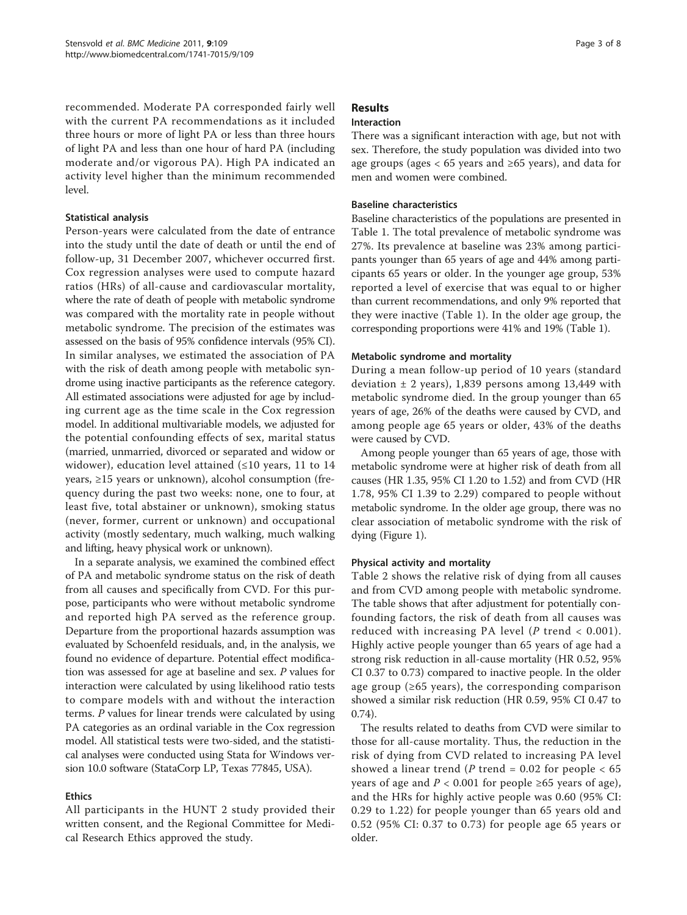recommended. Moderate PA corresponded fairly well with the current PA recommendations as it included three hours or more of light PA or less than three hours of light PA and less than one hour of hard PA (including moderate and/or vigorous PA). High PA indicated an activity level higher than the minimum recommended level.

## Statistical analysis

Person-years were calculated from the date of entrance into the study until the date of death or until the end of follow-up, 31 December 2007, whichever occurred first. Cox regression analyses were used to compute hazard ratios (HRs) of all-cause and cardiovascular mortality, where the rate of death of people with metabolic syndrome was compared with the mortality rate in people without metabolic syndrome. The precision of the estimates was assessed on the basis of 95% confidence intervals (95% CI). In similar analyses, we estimated the association of PA with the risk of death among people with metabolic syndrome using inactive participants as the reference category. All estimated associations were adjusted for age by including current age as the time scale in the Cox regression model. In additional multivariable models, we adjusted for the potential confounding effects of sex, marital status (married, unmarried, divorced or separated and widow or widower), education level attained  $(\leq 10$  years, 11 to 14 years, ≥15 years or unknown), alcohol consumption (frequency during the past two weeks: none, one to four, at least five, total abstainer or unknown), smoking status (never, former, current or unknown) and occupational activity (mostly sedentary, much walking, much walking and lifting, heavy physical work or unknown).

In a separate analysis, we examined the combined effect of PA and metabolic syndrome status on the risk of death from all causes and specifically from CVD. For this purpose, participants who were without metabolic syndrome and reported high PA served as the reference group. Departure from the proportional hazards assumption was evaluated by Schoenfeld residuals, and, in the analysis, we found no evidence of departure. Potential effect modification was assessed for age at baseline and sex. P values for interaction were calculated by using likelihood ratio tests to compare models with and without the interaction terms. P values for linear trends were calculated by using PA categories as an ordinal variable in the Cox regression model. All statistical tests were two-sided, and the statistical analyses were conducted using Stata for Windows version 10.0 software (StataCorp LP, Texas 77845, USA).

## Ethics

All participants in the HUNT 2 study provided their written consent, and the Regional Committee for Medical Research Ethics approved the study.

## Results

## Interaction

There was a significant interaction with age, but not with sex. Therefore, the study population was divided into two age groups (ages  $< 65$  years and  $\geq 65$  years), and data for men and women were combined.

## Baseline characteristics

Baseline characteristics of the populations are presented in Table [1](#page-3-0). The total prevalence of metabolic syndrome was 27%. Its prevalence at baseline was 23% among participants younger than 65 years of age and 44% among participants 65 years or older. In the younger age group, 53% reported a level of exercise that was equal to or higher than current recommendations, and only 9% reported that they were inactive (Table [1](#page-3-0)). In the older age group, the corresponding proportions were 41% and 19% (Table [1\)](#page-3-0).

## Metabolic syndrome and mortality

During a mean follow-up period of 10 years (standard deviation  $\pm$  2 years), 1,839 persons among 13,449 with metabolic syndrome died. In the group younger than 65 years of age, 26% of the deaths were caused by CVD, and among people age 65 years or older, 43% of the deaths were caused by CVD.

Among people younger than 65 years of age, those with metabolic syndrome were at higher risk of death from all causes (HR 1.35, 95% CI 1.20 to 1.52) and from CVD (HR 1.78, 95% CI 1.39 to 2.29) compared to people without metabolic syndrome. In the older age group, there was no clear association of metabolic syndrome with the risk of dying (Figure [1\)](#page-4-0).

## Physical activity and mortality

Table [2](#page-4-0) shows the relative risk of dying from all causes and from CVD among people with metabolic syndrome. The table shows that after adjustment for potentially confounding factors, the risk of death from all causes was reduced with increasing PA level ( $P$  trend < 0.001). Highly active people younger than 65 years of age had a strong risk reduction in all-cause mortality (HR 0.52, 95% CI 0.37 to 0.73) compared to inactive people. In the older age group (≥65 years), the corresponding comparison showed a similar risk reduction (HR 0.59, 95% CI 0.47 to 0.74).

The results related to deaths from CVD were similar to those for all-cause mortality. Thus, the reduction in the risk of dying from CVD related to increasing PA level showed a linear trend ( $P$  trend = 0.02 for people < 65 years of age and  $P$  < 0.001 for people ≥65 years of age), and the HRs for highly active people was 0.60 (95% CI: 0.29 to 1.22) for people younger than 65 years old and 0.52 (95% CI: 0.37 to 0.73) for people age 65 years or older.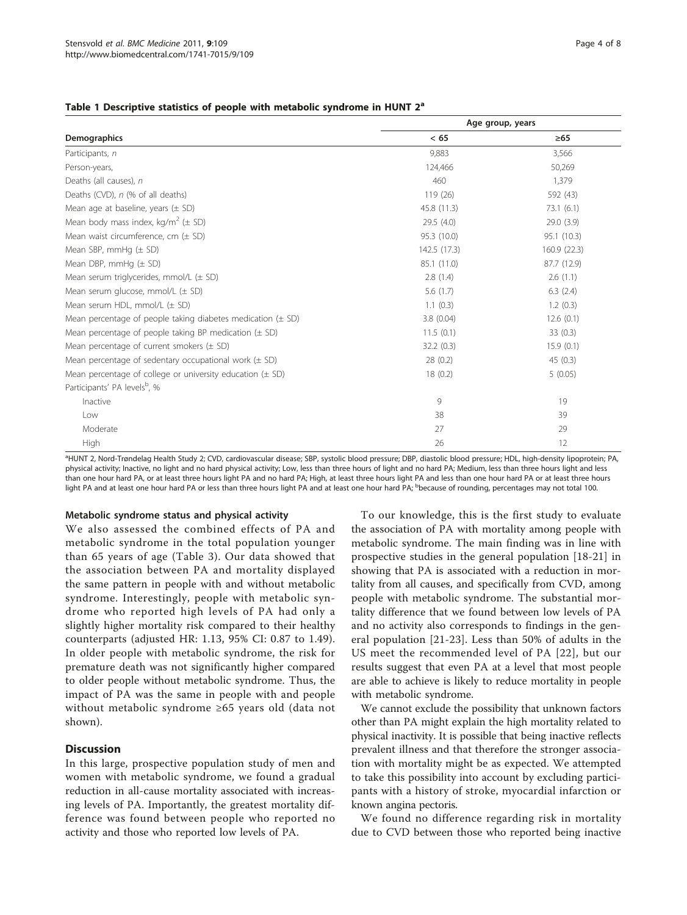#### <span id="page-3-0"></span>Table 1 Descriptive statistics of people with metabolic syndrome in HUNT  $2<sup>a</sup>$

|                                                                 | Age group, years |             |  |  |
|-----------------------------------------------------------------|------------------|-------------|--|--|
| Demographics                                                    | < 65             | $\geq 65$   |  |  |
| Participants, n                                                 | 9,883            | 3,566       |  |  |
| Person-years,                                                   | 124,466          | 50,269      |  |  |
| Deaths (all causes), n                                          | 460              | 1,379       |  |  |
| Deaths (CVD), n (% of all deaths)                               | 119 (26)         | 592 (43)    |  |  |
| Mean age at baseline, years $(\pm$ SD)                          | 45.8 (11.3)      | 73.1(6.1)   |  |  |
| Mean body mass index, kg/m <sup>2</sup> ( $\pm$ SD)             | 29.5 (4.0)       | 29.0(3.9)   |  |  |
| Mean waist circumference, cm $(\pm$ SD)                         | 95.3 (10.0)      | 95.1 (10.3) |  |  |
| Mean SBP, mmHg $(\pm$ SD)                                       | 142.5 (17.3)     | 160.9(22.3) |  |  |
| Mean DBP, $mmHq$ ( $\pm$ SD)                                    | 85.1 (11.0)      | 87.7 (12.9) |  |  |
| Mean serum triglycerides, $mmol/L$ ( $\pm$ SD)                  | 2.8(1.4)         | 2.6(1.1)    |  |  |
| Mean serum glucose, mmol/L $(\pm$ SD)                           | 5.6(1.7)         | 6.3(2.4)    |  |  |
| Mean serum HDL, $mmol/L$ ( $\pm$ SD)                            | 1.1(0.3)         | 1.2(0.3)    |  |  |
| Mean percentage of people taking diabetes medication $(\pm$ SD) | 3.8(0.04)        | 12.6(0.1)   |  |  |
| Mean percentage of people taking BP medication $(\pm$ SD)       | 11.5(0.1)        | 33(0.3)     |  |  |
| Mean percentage of current smokers $(\pm$ SD)                   | 32.2(0.3)        | 15.9(0.1)   |  |  |
| Mean percentage of sedentary occupational work $(\pm$ SD)       | 28(0.2)          | 45(0.3)     |  |  |
| Mean percentage of college or university education $(\pm$ SD)   | 18(0.2)          | 5(0.05)     |  |  |
| Participants' PA levels <sup>b</sup> , %                        |                  |             |  |  |
| Inactive                                                        | 9                | 19          |  |  |
| Low                                                             | 38               | 39          |  |  |
| Moderate                                                        | 27               | 29          |  |  |
| High                                                            | 26               | 12          |  |  |

a HUNT 2, Nord-Trøndelag Health Study 2; CVD, cardiovascular disease; SBP, systolic blood pressure; DBP, diastolic blood pressure; HDL, high-density lipoprotein; PA, physical activity; Inactive, no light and no hard physical activity; Low, less than three hours of light and no hard PA; Medium, less than three hours light and less than one hour hard PA, or at least three hours light PA and no hard PA; High, at least three hours light PA and less than one hour hard PA or at least three hours light PA and at least one hour hard PA or less than three hours light PA and at least one hour hard PA; <sup>b</sup>because of rounding, percentages may not total 100.

#### Metabolic syndrome status and physical activity

We also assessed the combined effects of PA and metabolic syndrome in the total population younger than 65 years of age (Table [3\)](#page-5-0). Our data showed that the association between PA and mortality displayed the same pattern in people with and without metabolic syndrome. Interestingly, people with metabolic syndrome who reported high levels of PA had only a slightly higher mortality risk compared to their healthy counterparts (adjusted HR: 1.13, 95% CI: 0.87 to 1.49). In older people with metabolic syndrome, the risk for premature death was not significantly higher compared to older people without metabolic syndrome. Thus, the impact of PA was the same in people with and people without metabolic syndrome ≥65 years old (data not shown).

#### **Discussion**

In this large, prospective population study of men and women with metabolic syndrome, we found a gradual reduction in all-cause mortality associated with increasing levels of PA. Importantly, the greatest mortality difference was found between people who reported no activity and those who reported low levels of PA.

To our knowledge, this is the first study to evaluate the association of PA with mortality among people with metabolic syndrome. The main finding was in line with prospective studies in the general population [\[18](#page-6-0)-[21\]](#page-6-0) in showing that PA is associated with a reduction in mortality from all causes, and specifically from CVD, among people with metabolic syndrome. The substantial mortality difference that we found between low levels of PA and no activity also corresponds to findings in the general population [[21](#page-6-0)-[23\]](#page-6-0). Less than 50% of adults in the US meet the recommended level of PA [[22\]](#page-6-0), but our results suggest that even PA at a level that most people are able to achieve is likely to reduce mortality in people with metabolic syndrome.

We cannot exclude the possibility that unknown factors other than PA might explain the high mortality related to physical inactivity. It is possible that being inactive reflects prevalent illness and that therefore the stronger association with mortality might be as expected. We attempted to take this possibility into account by excluding participants with a history of stroke, myocardial infarction or known angina pectoris.

We found no difference regarding risk in mortality due to CVD between those who reported being inactive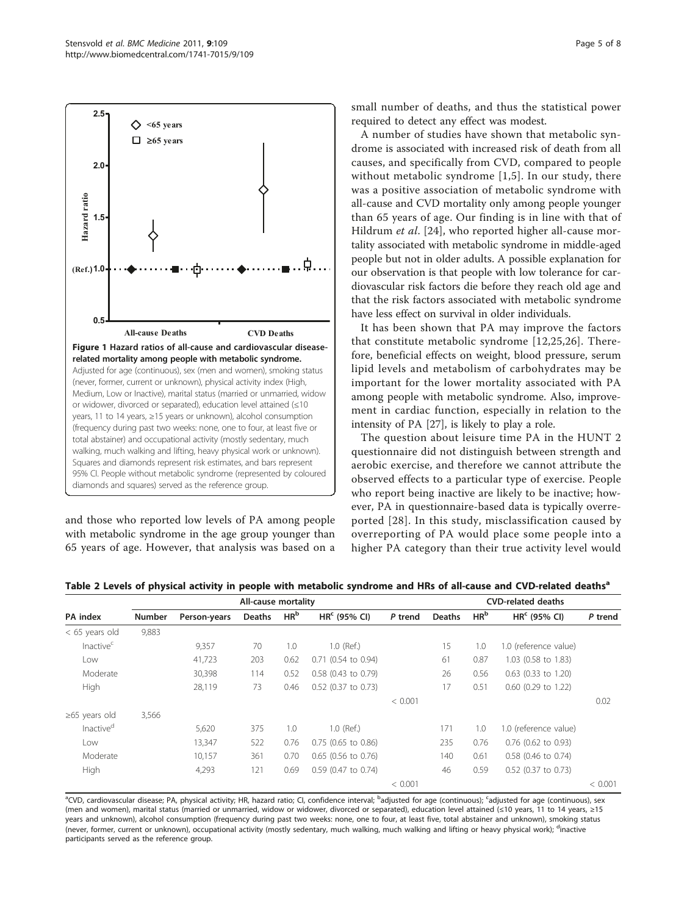<span id="page-4-0"></span>

and those who reported low levels of PA among people with metabolic syndrome in the age group younger than 65 years of age. However, that analysis was based on a small number of deaths, and thus the statistical power required to detect any effect was modest.

A number of studies have shown that metabolic syndrome is associated with increased risk of death from all causes, and specifically from CVD, compared to people without metabolic syndrome [[1,5](#page-6-0)]. In our study, there was a positive association of metabolic syndrome with all-cause and CVD mortality only among people younger than 65 years of age. Our finding is in line with that of Hildrum *et al.* [[24\]](#page-6-0), who reported higher all-cause mortality associated with metabolic syndrome in middle-aged people but not in older adults. A possible explanation for our observation is that people with low tolerance for cardiovascular risk factors die before they reach old age and that the risk factors associated with metabolic syndrome have less effect on survival in older individuals.

It has been shown that PA may improve the factors that constitute metabolic syndrome [[12](#page-6-0),[25,26](#page-6-0)]. Therefore, beneficial effects on weight, blood pressure, serum lipid levels and metabolism of carbohydrates may be important for the lower mortality associated with PA among people with metabolic syndrome. Also, improvement in cardiac function, especially in relation to the intensity of PA [[27](#page-6-0)], is likely to play a role.

The question about leisure time PA in the HUNT 2 questionnaire did not distinguish between strength and aerobic exercise, and therefore we cannot attribute the observed effects to a particular type of exercise. People who report being inactive are likely to be inactive; however, PA in questionnaire-based data is typically overreported [[28\]](#page-6-0). In this study, misclassification caused by overreporting of PA would place some people into a higher PA category than their true activity level would

|                       |        | All-cause mortality |        |                 |                       |         | <b>CVD-related deaths</b> |                 |                       |         |
|-----------------------|--------|---------------------|--------|-----------------|-----------------------|---------|---------------------------|-----------------|-----------------------|---------|
| PA index              | Number | Person-years        | Deaths | HR <sup>b</sup> | $HRc$ (95% CI)        | P trend | <b>Deaths</b>             | HR <sup>b</sup> | $HRc$ (95% CI)        | P trend |
| $<$ 65 years old      | 9,883  |                     |        |                 |                       |         |                           |                 |                       |         |
| Inactive <sup>c</sup> |        | 9,357               | 70     | 1.0             | 1.0 (Ref.)            |         | 15                        | 1.0             | 1.0 (reference value) |         |
| Low                   |        | 41,723              | 203    | 0.62            | $0.71$ (0.54 to 0.94) |         | 61                        | 0.87            | 1.03 (0.58 to 1.83)   |         |
| Moderate              |        | 30,398              | 114    | 0.52            | $0.58$ (0.43 to 0.79) |         | 26                        | 0.56            | $0.63$ (0.33 to 1.20) |         |
| High                  |        | 28,119              | 73     | 0.46            | 0.52 (0.37 to 0.73)   |         | 17                        | 0.51            | 0.60 (0.29 to 1.22)   |         |
|                       |        |                     |        |                 |                       | < 0.001 |                           |                 |                       | 0.02    |
| $\geq 65$ years old   | 3,566  |                     |        |                 |                       |         |                           |                 |                       |         |
| Inactive <sup>d</sup> |        | 5,620               | 375    | 1.0             | $1.0$ (Ref.)          |         | 171                       | 1.0             | 1.0 (reference value) |         |
| Low                   |        | 13,347              | 522    | 0.76            | $0.75$ (0.65 to 0.86) |         | 235                       | 0.76            | $0.76$ (0.62 to 0.93) |         |
| Moderate              |        | 10,157              | 361    | 0.70            | $0.65$ (0.56 to 0.76) |         | 140                       | 0.61            | 0.58 (0.46 to 0.74)   |         |
| High                  |        | 4,293               | 121    | 0.69            | 0.59 (0.47 to 0.74)   |         | 46                        | 0.59            | 0.52 (0.37 to 0.73)   |         |
|                       |        |                     |        |                 |                       | < 0.001 |                           |                 |                       | < 0.001 |

Table 2 Levels of physical activity in people with metabolic syndrome and HRs of all-cause and CVD-related deaths<sup>a</sup>

<sup>a</sup>CVD, cardiovascular disease; PA, physical activity; HR, hazard ratio; CI, confidence interval; <sup>b</sup>adjusted for age (continuous); <sup>c</sup>adjusted for age (continuous), sex (men and women), marital status (married or unmarried, widow or widower, divorced or separated), education level attained (≤10 years, 11 to 14 years, ≥15 years and unknown), alcohol consumption (frequency during past two weeks: none, one to four, at least five, total abstainer and unknown), smoking status (never, former, current or unknown), occupational activity (mostly sedentary, much walking, much walking and lifting or heavy physical work); <sup>d</sup>inactive participants served as the reference group.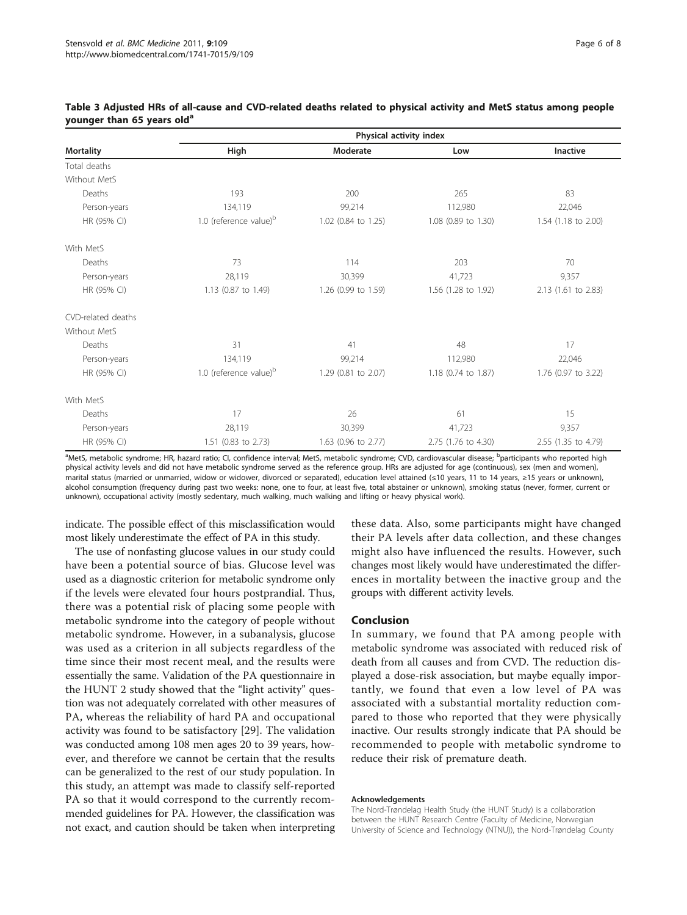|                    | Physical activity index            |                     |                     |                     |  |  |  |
|--------------------|------------------------------------|---------------------|---------------------|---------------------|--|--|--|
| <b>Mortality</b>   | High                               | Moderate            | Low                 | Inactive            |  |  |  |
| Total deaths       |                                    |                     |                     |                     |  |  |  |
| Without MetS       |                                    |                     |                     |                     |  |  |  |
| Deaths             | 193                                | 200                 | 265                 | 83                  |  |  |  |
| Person-years       | 134,119                            | 99,214              | 112,980             | 22,046              |  |  |  |
| HR (95% CI)        | 1.0 (reference value) <sup>b</sup> | 1.02 (0.84 to 1.25) | 1.08 (0.89 to 1.30) | 1.54 (1.18 to 2.00) |  |  |  |
| With MetS          |                                    |                     |                     |                     |  |  |  |
| Deaths             | 73                                 | 114                 | 203                 | 70                  |  |  |  |
| Person-years       | 28,119                             | 30,399              | 41,723              | 9,357               |  |  |  |
| HR (95% CI)        | 1.13 (0.87 to 1.49)                | 1.26 (0.99 to 1.59) | 1.56 (1.28 to 1.92) | 2.13 (1.61 to 2.83) |  |  |  |
| CVD-related deaths |                                    |                     |                     |                     |  |  |  |
| Without MetS       |                                    |                     |                     |                     |  |  |  |
| Deaths             | 31                                 | 41                  | 48                  | 17                  |  |  |  |
| Person-years       | 134,119                            | 99,214              | 112,980             | 22,046              |  |  |  |
| HR (95% CI)        | 1.0 (reference value) <sup>b</sup> | 1.29 (0.81 to 2.07) | 1.18 (0.74 to 1.87) | 1.76 (0.97 to 3.22) |  |  |  |
| With MetS          |                                    |                     |                     |                     |  |  |  |
| Deaths             | 17                                 | 26                  | 61                  | 15                  |  |  |  |
| Person-years       | 28,119                             | 30,399              | 41,723              | 9,357               |  |  |  |
| HR (95% CI)        | 1.51 (0.83 to 2.73)                | 1.63 (0.96 to 2.77) | 2.75 (1.76 to 4.30) | 2.55 (1.35 to 4.79) |  |  |  |

#### <span id="page-5-0"></span>Table 3 Adjusted HRs of all-cause and CVD-related deaths related to physical activity and MetS status among people younger than 65 years old<sup>a</sup>

a<br>MetS, metabolic syndrome; HR, hazard ratio; CI, confidence interval; MetS, metabolic syndrome; CVD, cardiovascular disease; <sup>b</sup>participants who reported high physical activity levels and did not have metabolic syndrome served as the reference group. HRs are adjusted for age (continuous), sex (men and women), marital status (married or unmarried, widow or widower, divorced or separated), education level attained (≤10 years, 11 to 14 years, ≥15 years or unknown), alcohol consumption (frequency during past two weeks: none, one to four, at least five, total abstainer or unknown), smoking status (never, former, current or unknown), occupational activity (mostly sedentary, much walking, much walking and lifting or heavy physical work).

indicate. The possible effect of this misclassification would most likely underestimate the effect of PA in this study.

The use of nonfasting glucose values in our study could have been a potential source of bias. Glucose level was used as a diagnostic criterion for metabolic syndrome only if the levels were elevated four hours postprandial. Thus, there was a potential risk of placing some people with metabolic syndrome into the category of people without metabolic syndrome. However, in a subanalysis, glucose was used as a criterion in all subjects regardless of the time since their most recent meal, and the results were essentially the same. Validation of the PA questionnaire in the HUNT 2 study showed that the "light activity" question was not adequately correlated with other measures of PA, whereas the reliability of hard PA and occupational activity was found to be satisfactory [[29](#page-7-0)]. The validation was conducted among 108 men ages 20 to 39 years, however, and therefore we cannot be certain that the results can be generalized to the rest of our study population. In this study, an attempt was made to classify self-reported PA so that it would correspond to the currently recommended guidelines for PA. However, the classification was not exact, and caution should be taken when interpreting these data. Also, some participants might have changed their PA levels after data collection, and these changes might also have influenced the results. However, such changes most likely would have underestimated the differences in mortality between the inactive group and the groups with different activity levels.

## Conclusion

In summary, we found that PA among people with metabolic syndrome was associated with reduced risk of death from all causes and from CVD. The reduction displayed a dose-risk association, but maybe equally importantly, we found that even a low level of PA was associated with a substantial mortality reduction compared to those who reported that they were physically inactive. Our results strongly indicate that PA should be recommended to people with metabolic syndrome to reduce their risk of premature death.

#### Acknowledgements

The Nord-Trøndelag Health Study (the HUNT Study) is a collaboration between the HUNT Research Centre (Faculty of Medicine, Norwegian University of Science and Technology (NTNU)), the Nord-Trøndelag County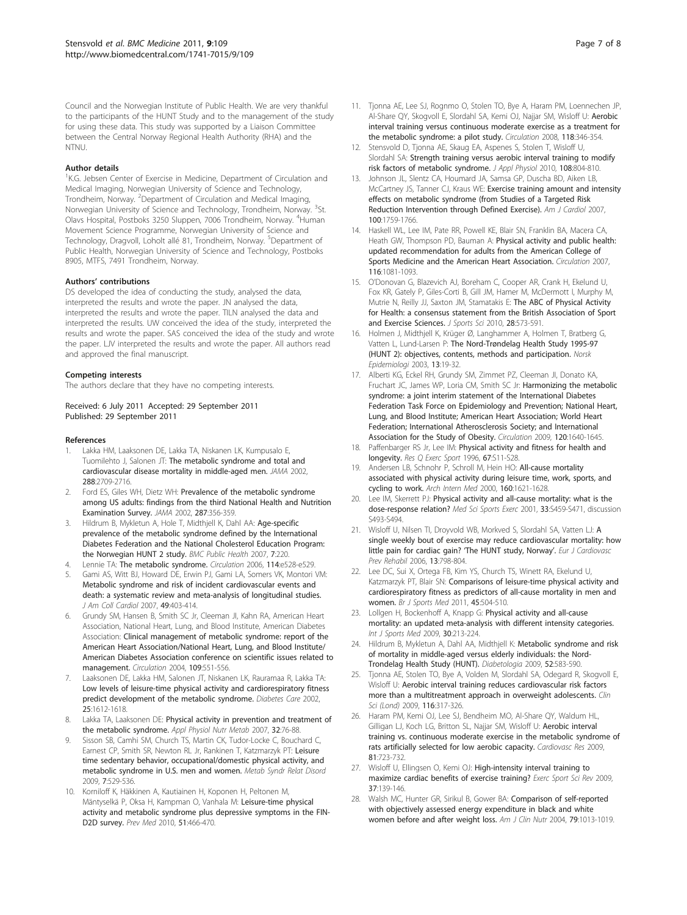<span id="page-6-0"></span>Council and the Norwegian Institute of Public Health. We are very thankful to the participants of the HUNT Study and to the management of the study for using these data. This study was supported by a Liaison Committee between the Central Norway Regional Health Authority (RHA) and the NTNU.

#### Author details

<sup>1</sup>K.G. Jebsen Center of Exercise in Medicine, Department of Circulation and Medical Imaging, Norwegian University of Science and Technology, Trondheim, Norway. <sup>2</sup>Department of Circulation and Medical Imaging, Norwegian University of Science and Technology, Trondheim, Norway. <sup>3</sup>St. Olavs Hospital, Postboks 3250 Sluppen, 7006 Trondheim, Norway. <sup>4</sup>Human Movement Science Programme, Norwegian University of Science and Technology, Dragvoll, Loholt allé 81, Trondheim, Norway. <sup>5</sup>Department of Public Health, Norwegian University of Science and Technology, Postboks 8905, MTFS, 7491 Trondheim, Norway.

#### Authors' contributions

DS developed the idea of conducting the study, analysed the data, interpreted the results and wrote the paper. JN analysed the data, interpreted the results and wrote the paper. TILN analysed the data and interpreted the results. UW conceived the idea of the study, interpreted the results and wrote the paper. SAS conceived the idea of the study and wrote the paper. LJV interpreted the results and wrote the paper. All authors read and approved the final manuscript.

#### Competing interests

The authors declare that they have no competing interests.

#### Received: 6 July 2011 Accepted: 29 September 2011 Published: 29 September 2011

#### References

- Lakka HM, Laaksonen DE, Lakka TA, Niskanen LK, Kumpusalo E, Tuomilehto J, Salonen JT: [The metabolic syndrome and total and](http://www.ncbi.nlm.nih.gov/pubmed/12460094?dopt=Abstract) [cardiovascular disease mortality in middle-aged men.](http://www.ncbi.nlm.nih.gov/pubmed/12460094?dopt=Abstract) JAMA 2002, 288:2709-2716.
- 2. Ford ES, Giles WH, Dietz WH: [Prevalence of the metabolic syndrome](http://www.ncbi.nlm.nih.gov/pubmed/11790215?dopt=Abstract) [among US adults: findings from the third National Health and Nutrition](http://www.ncbi.nlm.nih.gov/pubmed/11790215?dopt=Abstract) [Examination Survey.](http://www.ncbi.nlm.nih.gov/pubmed/11790215?dopt=Abstract) JAMA 2002, 287:356-359.
- Hildrum B, Mykletun A, Hole T, Midthjell K, Dahl AA: [Age-specific](http://www.ncbi.nlm.nih.gov/pubmed/17727697?dopt=Abstract) [prevalence of the metabolic syndrome defined by the International](http://www.ncbi.nlm.nih.gov/pubmed/17727697?dopt=Abstract) [Diabetes Federation and the National Cholesterol Education Program:](http://www.ncbi.nlm.nih.gov/pubmed/17727697?dopt=Abstract) [the Norwegian HUNT 2 study.](http://www.ncbi.nlm.nih.gov/pubmed/17727697?dopt=Abstract) BMC Public Health 2007, 7:220.
- 4. Lennie TA: [The metabolic syndrome.](http://www.ncbi.nlm.nih.gov/pubmed/17030691?dopt=Abstract) Circulation 2006, 114:e528-e529. 5. Gami AS, Witt BJ, Howard DE, Erwin PJ, Gami LA, Somers VK, Montori VM:
- [Metabolic syndrome and risk of incident cardiovascular events and](http://www.ncbi.nlm.nih.gov/pubmed/17258085?dopt=Abstract) [death: a systematic review and meta-analysis of longitudinal studies.](http://www.ncbi.nlm.nih.gov/pubmed/17258085?dopt=Abstract) J Am Coll Cardiol 2007, 49:403-414.
- 6. Grundy SM, Hansen B, Smith SC Jr, Cleeman JI, Kahn RA, American Heart Association, National Heart, Lung, and Blood Institute, American Diabetes Association: [Clinical management of metabolic syndrome: report of the](http://www.ncbi.nlm.nih.gov/pubmed/14757684?dopt=Abstract) [American Heart Association/National Heart, Lung, and Blood Institute/](http://www.ncbi.nlm.nih.gov/pubmed/14757684?dopt=Abstract) [American Diabetes Association conference on scientific issues related to](http://www.ncbi.nlm.nih.gov/pubmed/14757684?dopt=Abstract) [management.](http://www.ncbi.nlm.nih.gov/pubmed/14757684?dopt=Abstract) Circulation 2004, 109:551-556.
- 7. Laaksonen DE, Lakka HM, Salonen JT, Niskanen LK, Rauramaa R, Lakka TA: [Low levels of leisure-time physical activity and cardiorespiratory fitness](http://www.ncbi.nlm.nih.gov/pubmed/12196436?dopt=Abstract) [predict development of the metabolic syndrome.](http://www.ncbi.nlm.nih.gov/pubmed/12196436?dopt=Abstract) Diabetes Care 2002, 25:1612-1618.
- Lakka TA, Laaksonen DE: [Physical activity in prevention and treatment of](http://www.ncbi.nlm.nih.gov/pubmed/17332786?dopt=Abstract) [the metabolic syndrome.](http://www.ncbi.nlm.nih.gov/pubmed/17332786?dopt=Abstract) Appl Physiol Nutr Metab 2007, 32:76-88.
- 9. Sisson SB, Camhi SM, Church TS, Martin CK, Tudor-Locke C, Bouchard C, Earnest CP, Smith SR, Newton RL Jr, Rankinen T, Katzmarzyk PT: [Leisure](http://www.ncbi.nlm.nih.gov/pubmed/19900152?dopt=Abstract) [time sedentary behavior, occupational/domestic physical activity, and](http://www.ncbi.nlm.nih.gov/pubmed/19900152?dopt=Abstract) [metabolic syndrome in U.S. men and women.](http://www.ncbi.nlm.nih.gov/pubmed/19900152?dopt=Abstract) Metab Syndr Relat Disord 2009, 7:529-536.
- 10. Korniloff K, Häkkinen A, Kautiainen H, Koponen H, Peltonen M, Mäntyselkä P, Oksa H, Kampman O, Vanhala M: [Leisure-time physical](http://www.ncbi.nlm.nih.gov/pubmed/20854837?dopt=Abstract) [activity and metabolic syndrome plus depressive symptoms in the FIN-](http://www.ncbi.nlm.nih.gov/pubmed/20854837?dopt=Abstract)[D2D survey.](http://www.ncbi.nlm.nih.gov/pubmed/20854837?dopt=Abstract) Prev Med 2010, 51:466-470.
- 11. Tionna AE, Lee SJ, Rognmo O, Stolen TO, Bye A, Haram PM, Loennechen JP, Al-Share QY, Skogvoll E, Slordahl SA, Kemi OJ, Najjar SM, Wisloff U: [Aerobic](http://www.ncbi.nlm.nih.gov/pubmed/18606913?dopt=Abstract) [interval training versus continuous moderate exercise as a treatment for](http://www.ncbi.nlm.nih.gov/pubmed/18606913?dopt=Abstract) [the metabolic syndrome: a pilot study.](http://www.ncbi.nlm.nih.gov/pubmed/18606913?dopt=Abstract) Circulation 2008, 118:346-354.
- 12. Stensvold D, Tjonna AE, Skaug EA, Aspenes S, Stolen T, Wisloff U, Slordahl SA: [Strength training versus aerobic interval training to modify](http://www.ncbi.nlm.nih.gov/pubmed/20093665?dopt=Abstract) [risk factors of metabolic syndrome.](http://www.ncbi.nlm.nih.gov/pubmed/20093665?dopt=Abstract) J Appl Physiol 2010, 108:804-810.
- 13. Johnson JL, Slentz CA, Houmard JA, Samsa GP, Duscha BD, Aiken LB, McCartney JS, Tanner CJ, Kraus WE: [Exercise training amount and intensity](http://www.ncbi.nlm.nih.gov/pubmed/18082522?dopt=Abstract) [effects on metabolic syndrome \(from Studies of a Targeted Risk](http://www.ncbi.nlm.nih.gov/pubmed/18082522?dopt=Abstract) [Reduction Intervention through Defined Exercise\).](http://www.ncbi.nlm.nih.gov/pubmed/18082522?dopt=Abstract) Am J Cardiol 2007, 100:1759-1766.
- 14. Haskell WL, Lee IM, Pate RR, Powell KE, Blair SN, Franklin BA, Macera CA, Heath GW, Thompson PD, Bauman A: [Physical activity and public health:](http://www.ncbi.nlm.nih.gov/pubmed/17671237?dopt=Abstract) [updated recommendation for adults from the American College of](http://www.ncbi.nlm.nih.gov/pubmed/17671237?dopt=Abstract) Sports Medicine [and the American Heart Association.](http://www.ncbi.nlm.nih.gov/pubmed/17671237?dopt=Abstract) Circulation 2007, 116:1081-1093.
- 15. O'Donovan G, Blazevich AJ, Boreham C, Cooper AR, Crank H, Ekelund U, Fox KR, Gately P, Giles-Corti B, Gill JM, Hamer M, McDermott I, Murphy M, Mutrie N, Reilly JJ, Saxton JM, Stamatakis E: [The ABC of Physical Activity](http://www.ncbi.nlm.nih.gov/pubmed/20401789?dopt=Abstract) [for Health: a consensus statement from the British Association of Sport](http://www.ncbi.nlm.nih.gov/pubmed/20401789?dopt=Abstract) [and Exercise Sciences.](http://www.ncbi.nlm.nih.gov/pubmed/20401789?dopt=Abstract) J Sports Sci 2010, 28:573-591.
- 16. Holmen J, Midthjell K, Krüger Ø, Langhammer A, Holmen T, Bratberg G, Vatten L, Lund-Larsen P: The Nord-Trøndelag Health Study 1995-97 (HUNT 2): objectives, contents, methods and participation. Norsk Epidemiologi 2003, 13:19-32.
- 17. Alberti KG, Eckel RH, Grundy SM, Zimmet PZ, Cleeman JI, Donato KA, Fruchart JC, James WP, Loria CM, Smith SC Jr: [Harmonizing the metabolic](http://www.ncbi.nlm.nih.gov/pubmed/19805654?dopt=Abstract) [syndrome: a joint interim statement of the International Diabetes](http://www.ncbi.nlm.nih.gov/pubmed/19805654?dopt=Abstract) [Federation Task Force on Epidemiology and Prevention; National Heart,](http://www.ncbi.nlm.nih.gov/pubmed/19805654?dopt=Abstract) [Lung, and Blood Institute; American Heart Association; World Heart](http://www.ncbi.nlm.nih.gov/pubmed/19805654?dopt=Abstract) [Federation; International Atherosclerosis Society; and International](http://www.ncbi.nlm.nih.gov/pubmed/19805654?dopt=Abstract) [Association for the Study of Obesity.](http://www.ncbi.nlm.nih.gov/pubmed/19805654?dopt=Abstract) Circulation 2009, 120:1640-1645.
- 18. Paffenbarger RS Jr, Lee IM: [Physical activity and fitness for health and](http://www.ncbi.nlm.nih.gov/pubmed/8902905?dopt=Abstract) [longevity.](http://www.ncbi.nlm.nih.gov/pubmed/8902905?dopt=Abstract) Res Q Exerc Sport 1996, 67:S11-S28.
- 19. Andersen LB, Schnohr P, Schroll M, Hein HO: [All-cause mortality](http://www.ncbi.nlm.nih.gov/pubmed/10847255?dopt=Abstract) [associated with physical activity during leisure time, work, sports, and](http://www.ncbi.nlm.nih.gov/pubmed/10847255?dopt=Abstract) [cycling to work.](http://www.ncbi.nlm.nih.gov/pubmed/10847255?dopt=Abstract) Arch Intern Med 2000, 160:1621-1628.
- 20. Lee IM, Skerrett PJ: [Physical activity and all-cause mortality: what is the](http://www.ncbi.nlm.nih.gov/pubmed/11427772?dopt=Abstract) [dose-response relation?](http://www.ncbi.nlm.nih.gov/pubmed/11427772?dopt=Abstract) Med Sci Sports Exerc 2001, 33:S459-S471, discussion S493-S494.
- 21. Wisloff U, Nilsen TI, Droyvold WB, Morkved S, Slordahl S[A](http://www.ncbi.nlm.nih.gov/pubmed/17001221?dopt=Abstract), Vatten LJ: A [single weekly bout of exercise may reduce cardiovascular mortality: how](http://www.ncbi.nlm.nih.gov/pubmed/17001221?dopt=Abstract) [little pain for cardiac gain?](http://www.ncbi.nlm.nih.gov/pubmed/17001221?dopt=Abstract) 'The HUNT study, Norway'. Eur J Cardiovasc Prev Rehabil 2006, 13:798-804.
- 22. Lee DC, Sui X, Ortega FB, Kim YS, Church TS, Winett RA, Ekelund U, Katzmarzyk PT, Blair SN: [Comparisons of leisure-time physical activity and](http://www.ncbi.nlm.nih.gov/pubmed/20418526?dopt=Abstract) [cardiorespiratory fitness as predictors of all-cause mortality in men and](http://www.ncbi.nlm.nih.gov/pubmed/20418526?dopt=Abstract) [women.](http://www.ncbi.nlm.nih.gov/pubmed/20418526?dopt=Abstract) Br J Sports Med 2011, 45:504-510.
- 23. Lollgen H, Bockenhoff A, Knapp G: [Physical activity and all-cause](http://www.ncbi.nlm.nih.gov/pubmed/19199202?dopt=Abstract) [mortality: an updated meta-analysis with different intensity categories.](http://www.ncbi.nlm.nih.gov/pubmed/19199202?dopt=Abstract) Int J Sports Med 2009, 30:213-224.
- 24. Hildrum B, Mykletun A, Dahl AA, Midthjell K: [Metabolic syndrome and risk](http://www.ncbi.nlm.nih.gov/pubmed/19194692?dopt=Abstract) [of mortality in middle-aged versus elderly individuals: the Nord-](http://www.ncbi.nlm.nih.gov/pubmed/19194692?dopt=Abstract)[Trondelag Health Study \(HUNT\).](http://www.ncbi.nlm.nih.gov/pubmed/19194692?dopt=Abstract) Diabetologia 2009, 52:583-590.
- 25. Tjonna AE, Stolen TO, Bye A, Volden M, Slordahl SA, Odegard R, Skogvoll E, Wisloff U: Aerobic interval training reduces cardiovascular risk factors more than a multitreatment approach in overweight adolescents. Clin Sci (Lond) 2009, 116:317-326.
- 26. Haram PM, Kemi OJ, Lee SJ, Bendheim MO, Al-Share QY, Waldum HL, Gilligan LJ, Koch LG, Britton SL, Najjar SM, Wisloff U: [Aerobic interval](http://www.ncbi.nlm.nih.gov/pubmed/19047339?dopt=Abstract) [training vs. continuous moderate exercise in the metabolic syndrome of](http://www.ncbi.nlm.nih.gov/pubmed/19047339?dopt=Abstract) [rats artificially selected for low aerobic capacity.](http://www.ncbi.nlm.nih.gov/pubmed/19047339?dopt=Abstract) Cardiovasc Res 2009, 81:723-732.
- 27. Wisloff U, Ellingsen O, Kemi OJ: [High-intensity interval training to](http://www.ncbi.nlm.nih.gov/pubmed/19550205?dopt=Abstract) [maximize cardiac benefits of exercise training?](http://www.ncbi.nlm.nih.gov/pubmed/19550205?dopt=Abstract) Exerc Sport Sci Rev 2009, 37:139-146.
- 28. Walsh MC, Hunter GR, Sirikul B, Gower BA: [Comparison of self-reported](http://www.ncbi.nlm.nih.gov/pubmed/15159231?dopt=Abstract) [with objectively assessed energy expenditure in black and white](http://www.ncbi.nlm.nih.gov/pubmed/15159231?dopt=Abstract) [women before and after weight loss.](http://www.ncbi.nlm.nih.gov/pubmed/15159231?dopt=Abstract) Am J Clin Nutr 2004, 79:1013-1019.